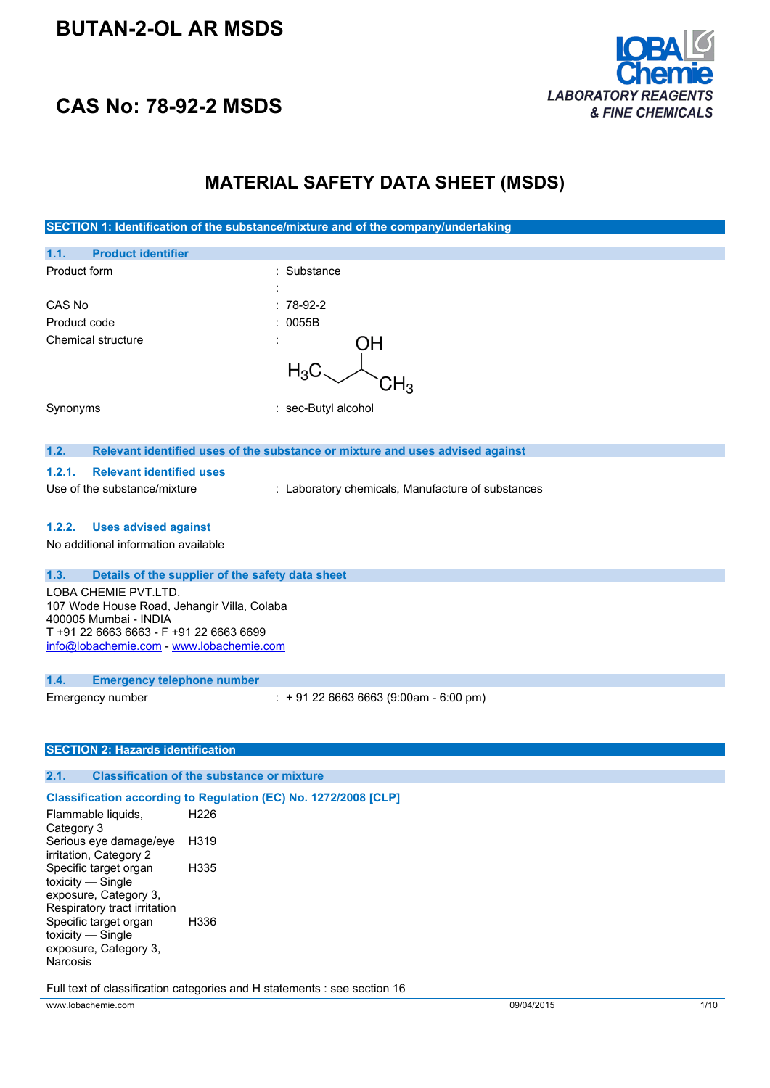# **BUTAN-2-OL AR MSDS**



# **CAS No: 78-92-2 MSDS**

# **MATERIAL SAFETY DATA SHEET (MSDS)**

| SECTION 1: Identification of the substance/mixture and of the company/undertaking                                                                                                   |                                                                               |  |
|-------------------------------------------------------------------------------------------------------------------------------------------------------------------------------------|-------------------------------------------------------------------------------|--|
| 1.1.<br><b>Product identifier</b>                                                                                                                                                   |                                                                               |  |
| Product form                                                                                                                                                                        | : Substance                                                                   |  |
| CAS No                                                                                                                                                                              | $: 78-92-2$                                                                   |  |
| Product code                                                                                                                                                                        | 0055B                                                                         |  |
| <b>Chemical structure</b>                                                                                                                                                           | ЭH                                                                            |  |
|                                                                                                                                                                                     | $H_3C$                                                                        |  |
| Synonyms                                                                                                                                                                            | : sec-Butyl alcohol                                                           |  |
| 1.2.                                                                                                                                                                                | Relevant identified uses of the substance or mixture and uses advised against |  |
| 1.2.1.<br><b>Relevant identified uses</b>                                                                                                                                           |                                                                               |  |
| Use of the substance/mixture                                                                                                                                                        | : Laboratory chemicals, Manufacture of substances                             |  |
| <b>Uses advised against</b><br>1.2.2.                                                                                                                                               |                                                                               |  |
| No additional information available                                                                                                                                                 |                                                                               |  |
| 1.3.                                                                                                                                                                                | Details of the supplier of the safety data sheet                              |  |
| LOBA CHEMIE PVT.LTD.<br>107 Wode House Road, Jehangir Villa, Colaba<br>400005 Mumbai - INDIA<br>T +91 22 6663 6663 - F +91 22 6663 6699<br>info@lobachemie.com - www.lobachemie.com |                                                                               |  |
| 1.4.<br><b>Emergency telephone number</b>                                                                                                                                           |                                                                               |  |
| Emergency number                                                                                                                                                                    | $: +912266636663(9:00am - 6:00 pm)$                                           |  |
| <b>SECTION 2: Hazards identification</b>                                                                                                                                            |                                                                               |  |
| 2.1.                                                                                                                                                                                | <b>Classification of the substance or mixture</b>                             |  |
|                                                                                                                                                                                     | Classification according to Regulation (EC) No. 1272/2008 [CLP]               |  |
| Flammable liquids,<br>Category 3                                                                                                                                                    | H226                                                                          |  |
| Serious eye damage/eye<br>irritation, Category 2                                                                                                                                    | H319                                                                          |  |
| Specific target organ<br>toxicity $-$ Single<br>exposure, Category 3,<br>Respiratory tract irritation                                                                               | H335                                                                          |  |
| Specific target organ<br>toxicity - Single<br>exposure, Category 3,<br>Narcosis                                                                                                     | H336                                                                          |  |

Full text of classification categories and H statements : see section 16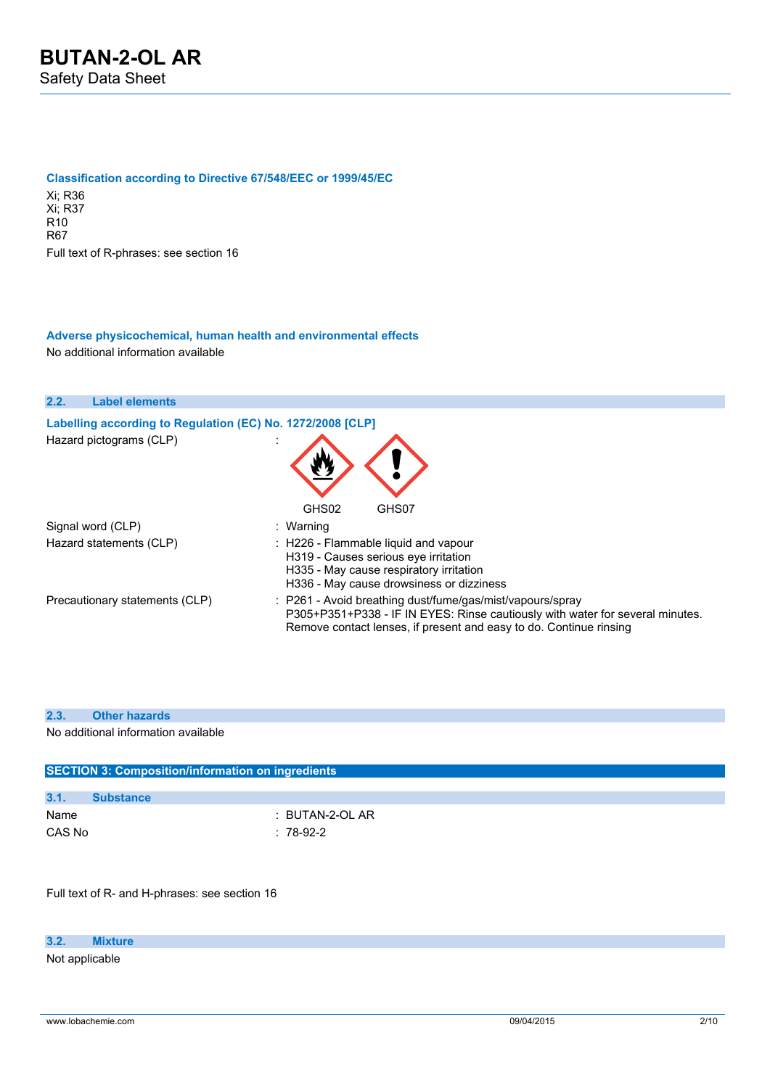#### **Classification according to Directive 67/548/EEC or 1999/45/EC**

Xi; R36 Xi; R37 R10 R67 Full text of R-phrases: see section 16

### **Adverse physicochemical, human health and environmental effects**

No additional information available

| 2.2. | <b>Label elements</b>                                      |                                                                                                                                                                                                                  |
|------|------------------------------------------------------------|------------------------------------------------------------------------------------------------------------------------------------------------------------------------------------------------------------------|
|      | Labelling according to Regulation (EC) No. 1272/2008 [CLP] |                                                                                                                                                                                                                  |
|      | Hazard pictograms (CLP)                                    |                                                                                                                                                                                                                  |
|      | Signal word (CLP)                                          | GHS02<br>GHS07<br>: Warning                                                                                                                                                                                      |
|      | Hazard statements (CLP)                                    | $\therefore$ H226 - Flammable liquid and vapour<br>H319 - Causes serious eye irritation<br>H335 - May cause respiratory irritation<br>H336 - May cause drowsiness or dizziness                                   |
|      | Precautionary statements (CLP)                             | : P261 - Avoid breathing dust/fume/gas/mist/vapours/spray<br>P305+P351+P338 - IF IN EYES: Rinse cautiously with water for several minutes.<br>Remove contact lenses, if present and easy to do. Continue rinsing |

#### **2.3. Other hazards**

No additional information available

| <b>SECTION 3: Composition/information on ingredients</b> |                  |  |
|----------------------------------------------------------|------------------|--|
|                                                          |                  |  |
| 3.1.                                                     | <b>Substance</b> |  |
| Name                                                     | : BUTAN-2-OL AR  |  |
| CAS No                                                   | $: 78-92-2$      |  |

Full text of R- and H-phrases: see section 16

#### **3.2. Mixture**

Not applicable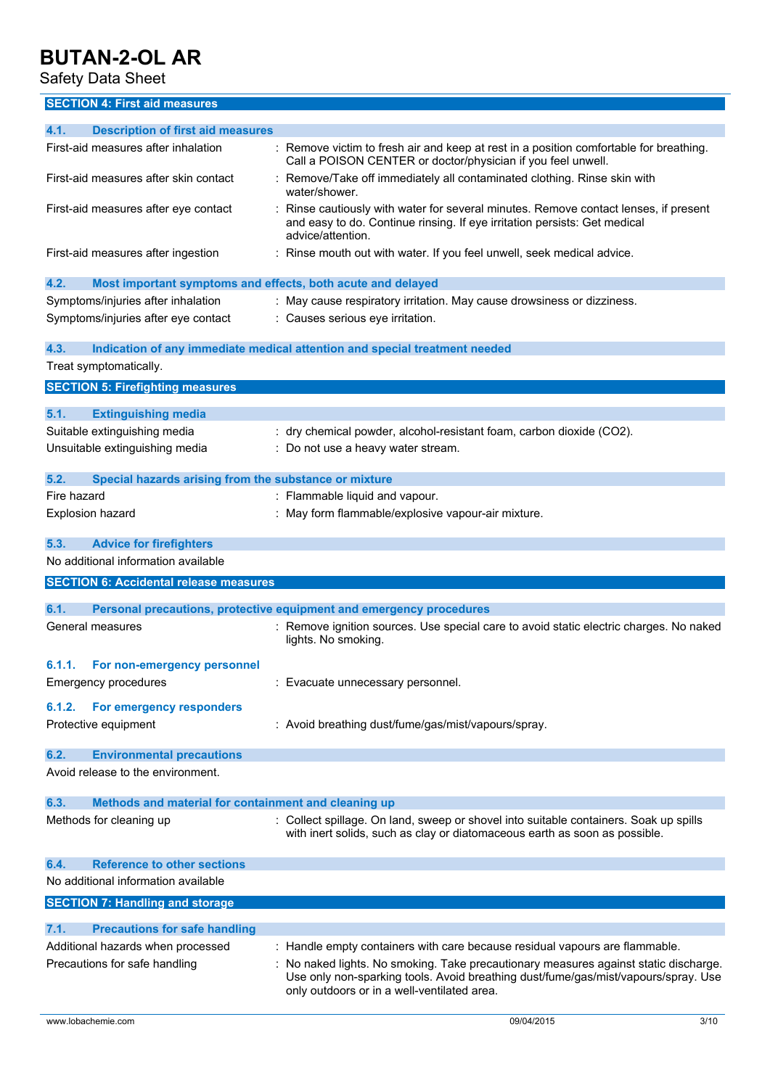Safety Data Sheet

**SECTION 4: First aid measures**

| 4.1.<br><b>Description of first aid measures</b>                    |                                                                                                                                                                                      |
|---------------------------------------------------------------------|--------------------------------------------------------------------------------------------------------------------------------------------------------------------------------------|
| First-aid measures after inhalation                                 | : Remove victim to fresh air and keep at rest in a position comfortable for breathing.<br>Call a POISON CENTER or doctor/physician if you feel unwell.                               |
| First-aid measures after skin contact                               | Remove/Take off immediately all contaminated clothing. Rinse skin with<br>water/shower.                                                                                              |
| First-aid measures after eye contact                                | Rinse cautiously with water for several minutes. Remove contact lenses, if present<br>and easy to do. Continue rinsing. If eye irritation persists: Get medical<br>advice/attention. |
| First-aid measures after ingestion                                  | Rinse mouth out with water. If you feel unwell, seek medical advice.                                                                                                                 |
| 4.2.<br>Most important symptoms and effects, both acute and delayed |                                                                                                                                                                                      |
| Symptoms/injuries after inhalation                                  | : May cause respiratory irritation. May cause drowsiness or dizziness.                                                                                                               |
| Symptoms/injuries after eye contact                                 | : Causes serious eye irritation.                                                                                                                                                     |
| 4.3.                                                                | Indication of any immediate medical attention and special treatment needed                                                                                                           |
| Treat symptomatically.                                              |                                                                                                                                                                                      |
| <b>SECTION 5: Firefighting measures</b>                             |                                                                                                                                                                                      |
| 5.1.<br><b>Extinguishing media</b>                                  |                                                                                                                                                                                      |
| Suitable extinguishing media                                        | dry chemical powder, alcohol-resistant foam, carbon dioxide (CO2).                                                                                                                   |
| Unsuitable extinguishing media                                      | : Do not use a heavy water stream.                                                                                                                                                   |
| 5.2.<br>Special hazards arising from the substance or mixture       |                                                                                                                                                                                      |
| Fire hazard                                                         | : Flammable liquid and vapour.                                                                                                                                                       |
| Explosion hazard                                                    | May form flammable/explosive vapour-air mixture.                                                                                                                                     |
| 5.3.<br><b>Advice for firefighters</b>                              |                                                                                                                                                                                      |
| No additional information available                                 |                                                                                                                                                                                      |
| <b>SECTION 6: Accidental release measures</b>                       |                                                                                                                                                                                      |
|                                                                     |                                                                                                                                                                                      |
| 6.1.                                                                | Personal precautions, protective equipment and emergency procedures                                                                                                                  |
| General measures                                                    | : Remove ignition sources. Use special care to avoid static electric charges. No naked<br>lights. No smoking.                                                                        |
| 6.1.1.<br>For non-emergency personnel                               |                                                                                                                                                                                      |
| <b>Emergency procedures</b>                                         | : Evacuate unnecessary personnel.                                                                                                                                                    |
| For emergency responders<br>6.1.2.                                  |                                                                                                                                                                                      |
| Protective equipment                                                | : Avoid breathing dust/fume/gas/mist/vapours/spray.                                                                                                                                  |
| <b>Environmental precautions</b><br>6.2.                            |                                                                                                                                                                                      |
| Avoid release to the environment.                                   |                                                                                                                                                                                      |
| Methods and material for containment and cleaning up<br>6.3.        |                                                                                                                                                                                      |
| Methods for cleaning up                                             | : Collect spillage. On land, sweep or shovel into suitable containers. Soak up spills<br>with inert solids, such as clay or diatomaceous earth as soon as possible.                  |
| <b>Reference to other sections</b><br>6.4.                          |                                                                                                                                                                                      |
| No additional information available                                 |                                                                                                                                                                                      |
| <b>SECTION 7: Handling and storage</b>                              |                                                                                                                                                                                      |
| 7.1.<br><b>Precautions for safe handling</b>                        |                                                                                                                                                                                      |
| Additional hazards when processed                                   |                                                                                                                                                                                      |
|                                                                     | : Handle empty containers with care because residual vapours are flammable.                                                                                                          |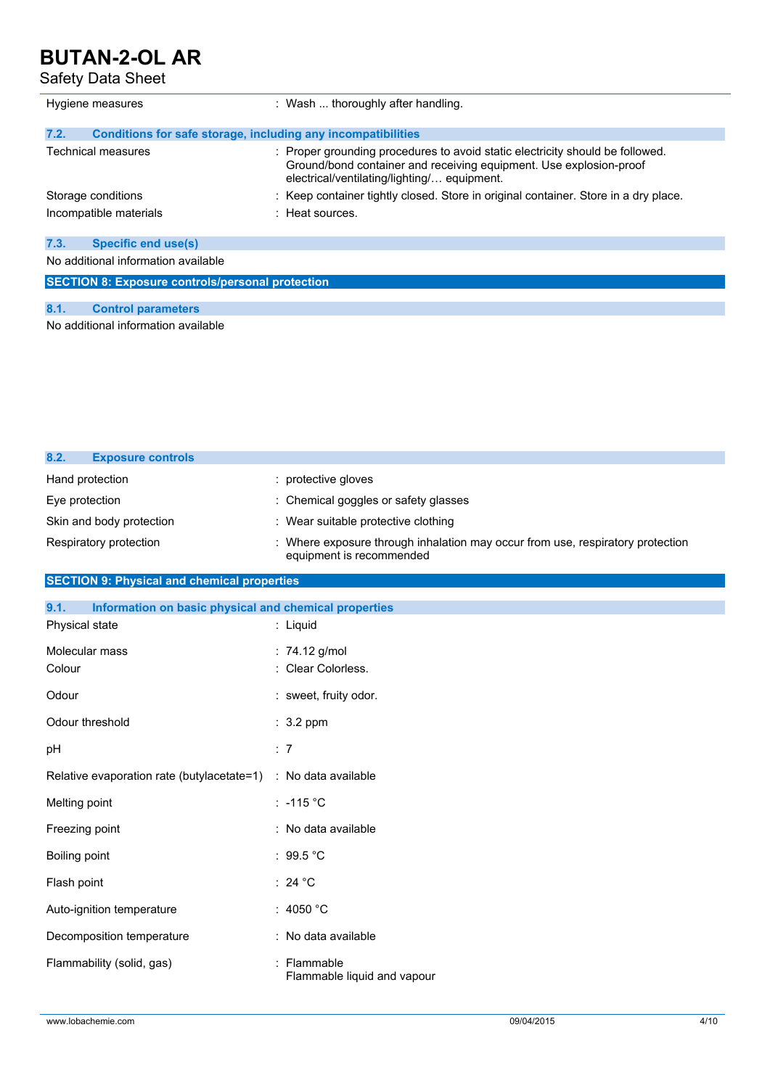Safety Data Sheet

| Hygiene measures                                                     | : Wash  thoroughly after handling.                                                                                                                                                                 |  |
|----------------------------------------------------------------------|----------------------------------------------------------------------------------------------------------------------------------------------------------------------------------------------------|--|
| 7.2.<br>Conditions for safe storage, including any incompatibilities |                                                                                                                                                                                                    |  |
| Technical measures                                                   | : Proper grounding procedures to avoid static electricity should be followed.<br>Ground/bond container and receiving equipment. Use explosion-proof<br>electrical/ventilating/lighting/ equipment. |  |
| Storage conditions                                                   | : Keep container tightly closed. Store in original container. Store in a dry place.                                                                                                                |  |
| Incompatible materials                                               | $\pm$ Heat sources.                                                                                                                                                                                |  |
| 7.3.<br><b>Specific end use(s)</b>                                   |                                                                                                                                                                                                    |  |
| No additional information available                                  |                                                                                                                                                                                                    |  |
| <b>SECTION 8: Exposure controls/personal protection</b>              |                                                                                                                                                                                                    |  |
| 8.1.<br><b>Control parameters</b>                                    |                                                                                                                                                                                                    |  |

No additional information available

| 8.2.<br><b>Exposure controls</b> |                                                                                                          |
|----------------------------------|----------------------------------------------------------------------------------------------------------|
| Hand protection                  | protective gloves                                                                                        |
| Eye protection                   | : Chemical goggles or safety glasses                                                                     |
| Skin and body protection         | : Wear suitable protective clothing                                                                      |
| Respiratory protection           | Where exposure through inhalation may occur from use, respiratory protection<br>equipment is recommended |

### **SECTION 9: Physical and chemical properties**

| 9.1.<br>Information on basic physical and chemical properties |                                            |
|---------------------------------------------------------------|--------------------------------------------|
| Physical state                                                | : Liquid                                   |
| Molecular mass                                                | : 74.12 g/mol                              |
| Colour                                                        | : Clear Colorless.                         |
| Odour                                                         | : sweet, fruity odor.                      |
| Odour threshold                                               | $: 3.2$ ppm                                |
| pH                                                            | : 7                                        |
| Relative evaporation rate (butylacetate=1)                    | : No data available                        |
| Melting point                                                 | : -115 $^{\circ}$ C                        |
| Freezing point                                                | : No data available                        |
| Boiling point                                                 | : 99.5 $^{\circ}$ C                        |
| Flash point                                                   | : 24 $^{\circ}$ C                          |
| Auto-ignition temperature                                     | : 4050 $°C$                                |
| Decomposition temperature                                     | : No data available                        |
| Flammability (solid, gas)                                     | : Flammable<br>Flammable liquid and vapour |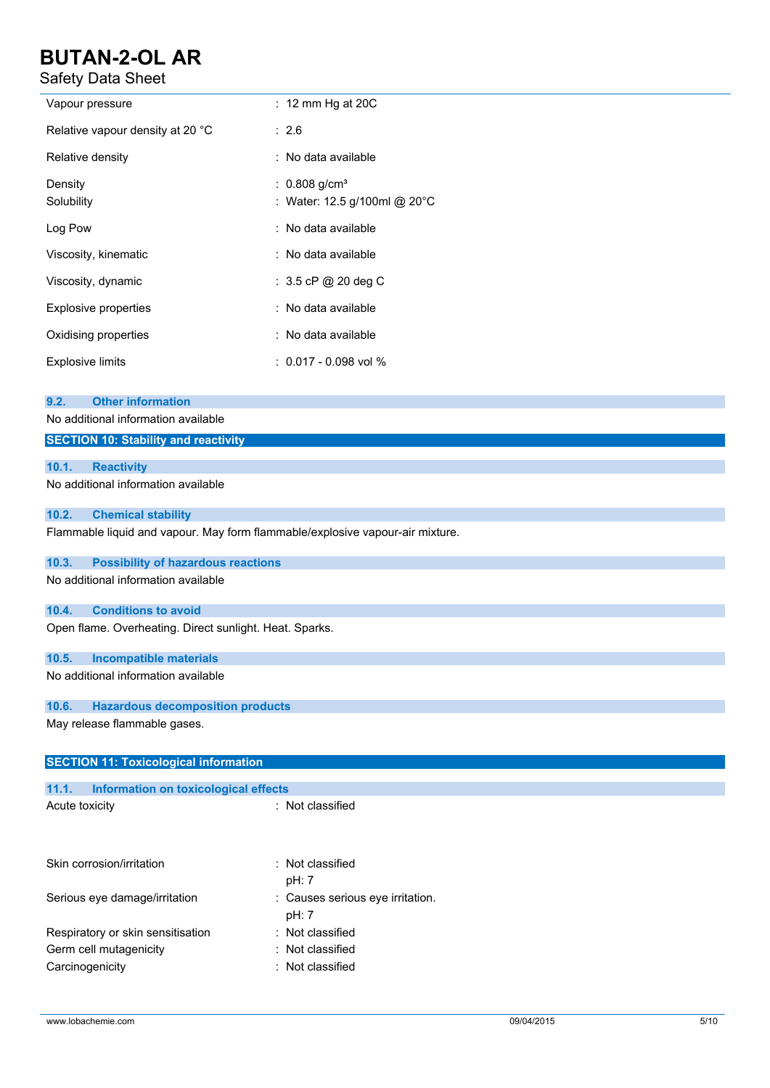Safety Data Sheet

| Safety Data Sheet                                                                                                      |                                                                               |  |
|------------------------------------------------------------------------------------------------------------------------|-------------------------------------------------------------------------------|--|
| Vapour pressure                                                                                                        | : 12 mm Hg at 20C                                                             |  |
| Relative vapour density at 20 °C                                                                                       | : 2.6                                                                         |  |
| Relative density                                                                                                       | : No data available                                                           |  |
| Density<br>Solubility                                                                                                  | : $0.808$ g/cm <sup>3</sup><br>: Water: 12.5 g/100ml @ 20°C                   |  |
| Log Pow                                                                                                                | No data available                                                             |  |
| Viscosity, kinematic                                                                                                   | : No data available                                                           |  |
| Viscosity, dynamic                                                                                                     | : 3.5 cP @ 20 deg C                                                           |  |
| <b>Explosive properties</b>                                                                                            | : No data available                                                           |  |
| Oxidising properties                                                                                                   | : No data available                                                           |  |
| <b>Explosive limits</b>                                                                                                | $: 0.017 - 0.098$ vol %                                                       |  |
| <b>Other information</b><br>9.2.<br>No additional information available<br><b>SECTION 10: Stability and reactivity</b> |                                                                               |  |
| 10.1.<br><b>Reactivity</b>                                                                                             |                                                                               |  |
| No additional information available                                                                                    |                                                                               |  |
| 10.2.<br><b>Chemical stability</b>                                                                                     | Flammable liquid and vapour. May form flammable/explosive vapour-air mixture. |  |
| 10.3.<br><b>Possibility of hazardous reactions</b>                                                                     |                                                                               |  |
| No additional information available                                                                                    |                                                                               |  |
| 10.4.<br><b>Conditions to avoid</b>                                                                                    |                                                                               |  |
| Open flame. Overheating. Direct sunlight. Heat. Sparks.                                                                |                                                                               |  |
| 10.5.<br><b>Incompatible materials</b>                                                                                 |                                                                               |  |
| No additional information available                                                                                    |                                                                               |  |
| 10.6.<br><b>Hazardous decomposition products</b>                                                                       |                                                                               |  |
| May release flammable gases.                                                                                           |                                                                               |  |
| <b>SECTION 11: Toxicological information</b>                                                                           |                                                                               |  |
| 11.1.<br>Information on toxicological effects                                                                          |                                                                               |  |
| Acute toxicity                                                                                                         | : Not classified                                                              |  |
| Skin corrosion/irritation                                                                                              | Not classified<br>÷<br>pH: 7                                                  |  |
| Serious eye damage/irritation                                                                                          | Causes serious eye irritation.<br>pH: 7                                       |  |
|                                                                                                                        |                                                                               |  |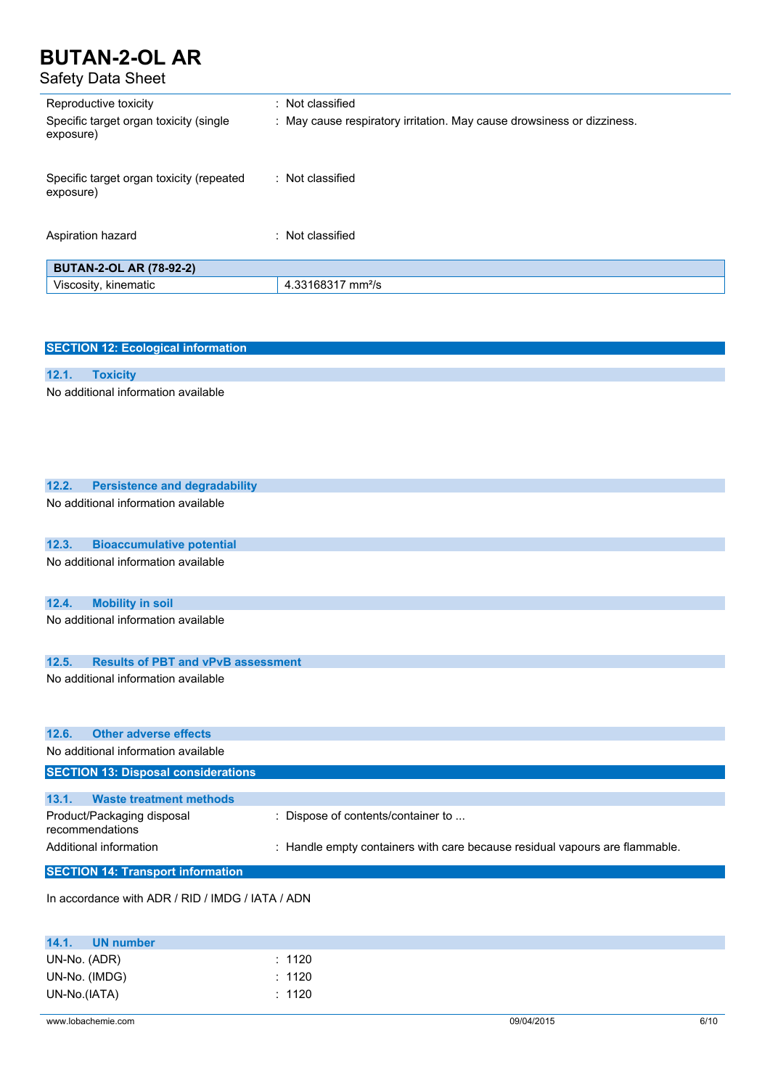### Safety Data Sheet

| Reproductive toxicity                                 | : Not classified                                                       |
|-------------------------------------------------------|------------------------------------------------------------------------|
| Specific target organ toxicity (single<br>exposure)   | : May cause respiratory irritation. May cause drowsiness or dizziness. |
| Specific target organ toxicity (repeated<br>exposure) | : Not classified                                                       |
| Aspiration hazard                                     | : Not classified                                                       |
| <b>BUTAN-2-OL AR (78-92-2)</b>                        |                                                                        |
| Viscosity, kinematic                                  | 4.33168317 mm <sup>2</sup> /s                                          |

| <b>SECTION 12: Ecological information</b>          |                                                                             |
|----------------------------------------------------|-----------------------------------------------------------------------------|
|                                                    |                                                                             |
| 12.1.<br><b>Toxicity</b>                           |                                                                             |
| No additional information available                |                                                                             |
| 12.2.<br><b>Persistence and degradability</b>      |                                                                             |
| No additional information available                |                                                                             |
| 12.3.<br><b>Bioaccumulative potential</b>          |                                                                             |
| No additional information available                |                                                                             |
| <b>Mobility in soil</b><br>12.4.                   |                                                                             |
| No additional information available                |                                                                             |
| 12.5.<br><b>Results of PBT and vPvB assessment</b> |                                                                             |
| No additional information available                |                                                                             |
| 12.6.<br><b>Other adverse effects</b>              |                                                                             |
| No additional information available                |                                                                             |
| <b>SECTION 13: Disposal considerations</b>         |                                                                             |
| <b>Waste treatment methods</b><br>13.1.            |                                                                             |
| Product/Packaging disposal<br>recommendations      | : Dispose of contents/container to                                          |
| Additional information                             | : Handle empty containers with care because residual vapours are flammable. |
| <b>SECTION 14: Transport information</b>           |                                                                             |
| In accordance with ADR / RID / IMDG / IATA / ADN   |                                                                             |

| 14.1.         | UN number |        |
|---------------|-----------|--------|
| UN-No. (ADR)  |           | : 1120 |
| UN-No. (IMDG) |           | : 1120 |
| UN-No.(IATA)  |           | : 1120 |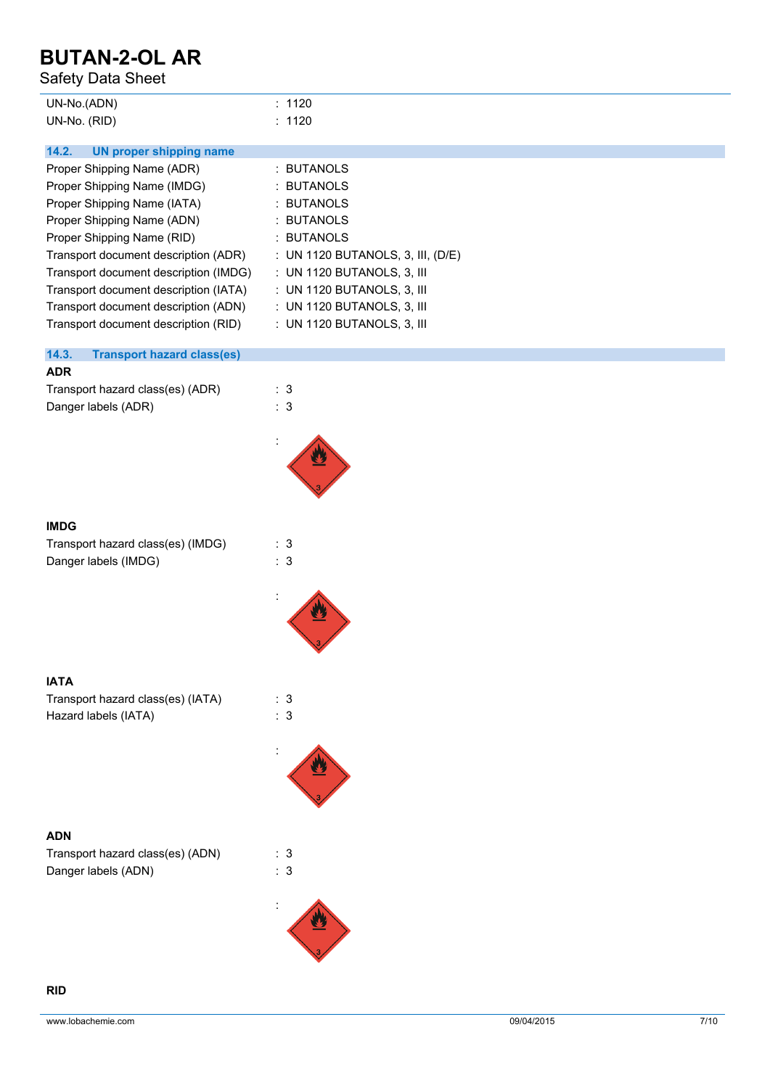Safety Data Sheet

| UN-No.(ADN)  | : 1120 |
|--------------|--------|
| UN-No. (RID) | : 1120 |

| 14.2. |  | <b>UN proper shipping name</b> |  |
|-------|--|--------------------------------|--|
|       |  |                                |  |

| Proper Shipping Name (ADR)            | : BUTANOLS                        |
|---------------------------------------|-----------------------------------|
| Proper Shipping Name (IMDG)           | : BUTANOLS                        |
| Proper Shipping Name (IATA)           | : BUTANOLS                        |
| Proper Shipping Name (ADN)            | : BUTANOLS                        |
| Proper Shipping Name (RID)            | : BUTANOLS                        |
| Transport document description (ADR)  | : UN 1120 BUTANOLS, 3, III, (D/E) |
| Transport document description (IMDG) | : UN 1120 BUTANOLS, 3, III        |
| Transport document description (IATA) | : UN 1120 BUTANOLS, 3, III        |
| Transport document description (ADN)  | : UN 1120 BUTANOLS, 3, III        |
| Transport document description (RID)  | : UN 1120 BUTANOLS, 3, III        |

### **14.3. Transport hazard class(es)**

#### **ADR**

| Transport hazard class(es) (ADR) | : 3 |
|----------------------------------|-----|
| Danger labels (ADR)              | : 3 |



:

| <b>IMDG</b>                       |     |  |
|-----------------------------------|-----|--|
| Transport hazard class(es) (IMDG) | : 3 |  |
| Danger labels (IMDG)              | : 3 |  |

| <b>IATA</b>                       |     |
|-----------------------------------|-----|
| Transport hazard class(es) (IATA) | : 3 |
| Hazard labels (IATA)              | : 3 |



### **ADN**

| Transport hazard class(es) (ADN) |     | : 3 |
|----------------------------------|-----|-----|
| Danger labels (ADN)              | : 3 |     |

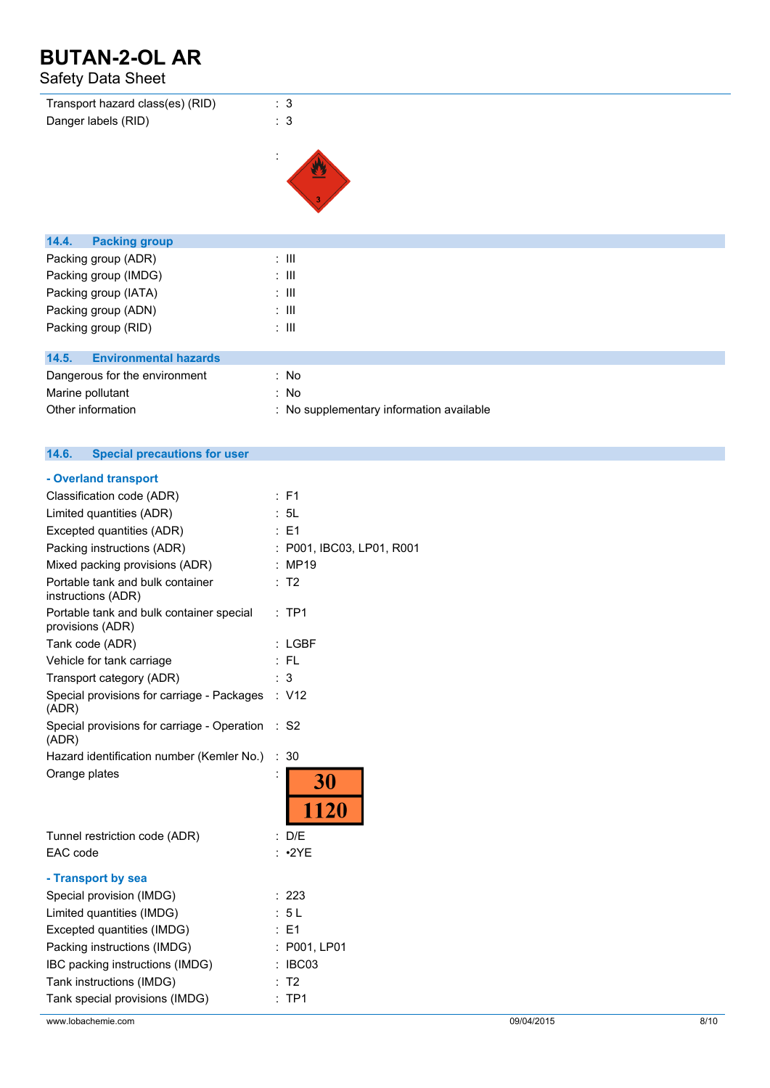### Safety Data Sheet

| Transport hazard class(es) (RID)      | : 3                                      |
|---------------------------------------|------------------------------------------|
| Danger labels (RID)                   | : 3                                      |
|                                       |                                          |
|                                       | ÷                                        |
|                                       |                                          |
|                                       |                                          |
|                                       |                                          |
|                                       |                                          |
| <b>Packing group</b><br>14.4.         |                                          |
| Packing group (ADR)                   | $\therefore$ III                         |
| Packing group (IMDG)                  | $\therefore$ $\mathbf{III}$              |
| Packing group (IATA)                  | $\therefore$ $\mathbf{III}$              |
| Packing group (ADN)                   | $\therefore$ $\mathbf{III}$              |
| Packing group (RID)                   | $\therefore$ $\mathbf{III}$              |
|                                       |                                          |
| <b>Environmental hazards</b><br>14.5. |                                          |
| Dangerous for the environment         | : No                                     |
| Marine pollutant                      | : No                                     |
| Other information                     | : No supplementary information available |

#### $14.6.$ **14.6. Special precautions for user**

| - Overland transport                                         |                         |
|--------------------------------------------------------------|-------------------------|
| Classification code (ADR)                                    | $:$ F1                  |
| Limited quantities (ADR)                                     | : 5L                    |
| Excepted quantities (ADR)                                    | $E = 1$                 |
| Packing instructions (ADR)                                   | P001, IBC03, LP01, R001 |
| Mixed packing provisions (ADR)                               | : MP19                  |
| Portable tank and bulk container<br>instructions (ADR)       | : T2                    |
| Portable tank and bulk container special<br>provisions (ADR) | $:$ TP1                 |
| Tank code (ADR)                                              | LGBF                    |
| Vehicle for tank carriage                                    | - FL                    |
| Transport category (ADR)                                     | 3                       |
| Special provisions for carriage - Packages<br>(ADR)          | : V12                   |
| Special provisions for carriage - Operation<br>(ADR)         | $\therefore$ S2         |
| Hazard identification number (Kemler No.)                    | ÷<br>30                 |
| Orange plates                                                | İ<br>30<br>1120         |
|                                                              |                         |
| Tunnel restriction code (ADR)                                | : D/E                   |
| EAC code                                                     | $: \cdot2YE$            |
| - Transport by sea                                           |                         |
| Special provision (IMDG)                                     | : 223                   |
| Limited quantities (IMDG)                                    | : 5 L                   |
| Excepted quantities (IMDG)                                   | : E1                    |
| Packing instructions (IMDG)                                  | : P001, LP01            |
| IBC packing instructions (IMDG)                              | IBC03                   |
| Tank instructions (IMDG)                                     | T2                      |
| Tank special provisions (IMDG)                               | TP <sub>1</sub>         |
|                                                              |                         |

www.lobachemie.com 09/04/2015 8/10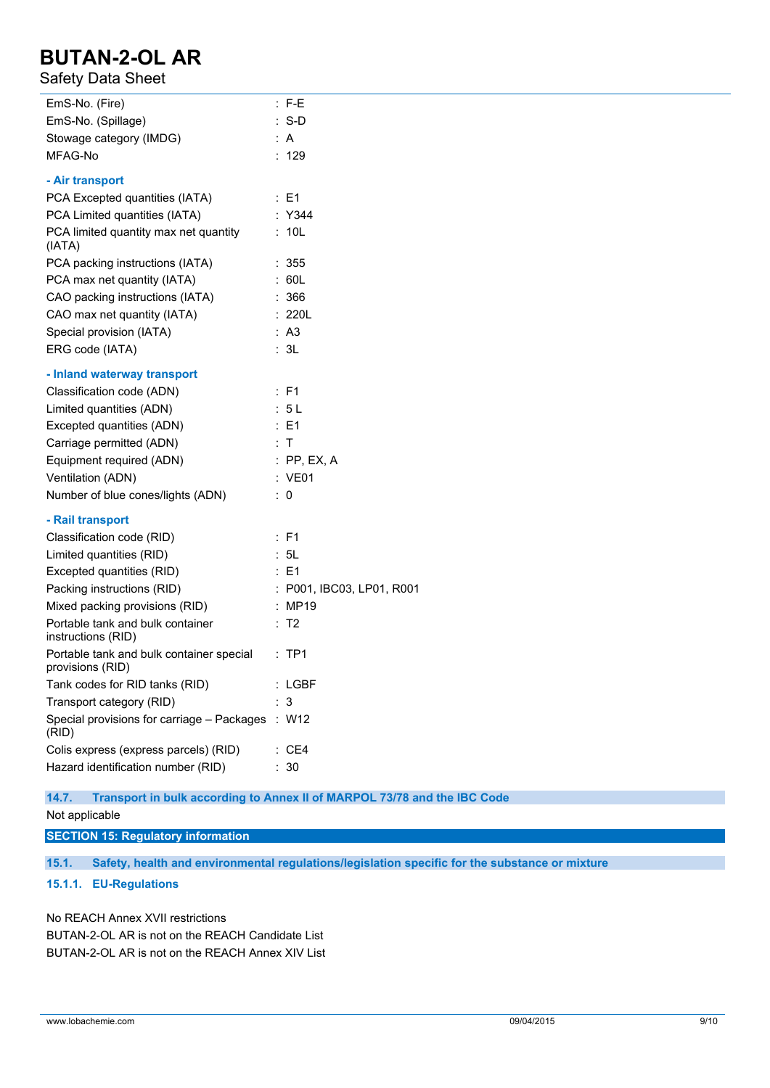### Safety Data Sheet

| EmS-No. (Fire)                                               | $:$ F-E                   |
|--------------------------------------------------------------|---------------------------|
| EmS-No. (Spillage)                                           | $: S-D$                   |
| Stowage category (IMDG)                                      | : A                       |
| MFAG-No                                                      | : 129                     |
| - Air transport                                              |                           |
| PCA Excepted quantities (IATA)                               | $\therefore$ E1           |
| PCA Limited quantities (IATA)                                | : Y344                    |
| PCA limited quantity max net quantity<br>(IATA)              | : 10L                     |
| PCA packing instructions (IATA)                              | : 355                     |
| PCA max net quantity (IATA)                                  | : 60L                     |
| CAO packing instructions (IATA)                              | : 366                     |
| CAO max net quantity (IATA)                                  | : 220L                    |
| Special provision (IATA)                                     | : A3                      |
| ERG code (IATA)                                              | : 3L                      |
| - Inland waterway transport                                  |                           |
| Classification code (ADN)                                    | : F1                      |
| Limited quantities (ADN)                                     | : 5L                      |
| Excepted quantities (ADN)                                    | $\therefore$ E1           |
| Carriage permitted (ADN)                                     | : T                       |
| Equipment required (ADN)                                     | $:$ PP, EX, A             |
| Ventilation (ADN)                                            | : VE01                    |
| Number of blue cones/lights (ADN)                            | $\therefore$ 0            |
| - Rail transport                                             |                           |
| Classification code (RID)                                    | : F1                      |
| Limited quantities (RID)                                     | : 5L                      |
| Excepted quantities (RID)                                    | $\therefore$ E1           |
| Packing instructions (RID)                                   | : P001, IBC03, LP01, R001 |
| Mixed packing provisions (RID)                               | : MP19                    |
| Portable tank and bulk container<br>instructions (RID)       | : T2                      |
| Portable tank and bulk container special<br>provisions (RID) | $:$ TP1                   |
| Tank codes for RID tanks (RID)                               | : LGBF                    |
| Transport category (RID)                                     | : 3                       |
| Special provisions for carriage - Packages<br>(RID)          | : W12                     |
| Colis express (express parcels) (RID)                        | : CE4                     |
| Hazard identification number (RID)                           | : 30                      |
|                                                              |                           |

**14.7. Transport in bulk according to Annex II of MARPOL 73/78 and the IBC Code**

Not applicable

**SECTION 15: Regulatory information**

**15.1. Safety, health and environmental regulations/legislation specific for the substance or mixture**

**15.1.1. EU-Regulations**

No REACH Annex XVII restrictions BUTAN-2-OL AR is not on the REACH Candidate List BUTAN-2-OL AR is not on the REACH Annex XIV List